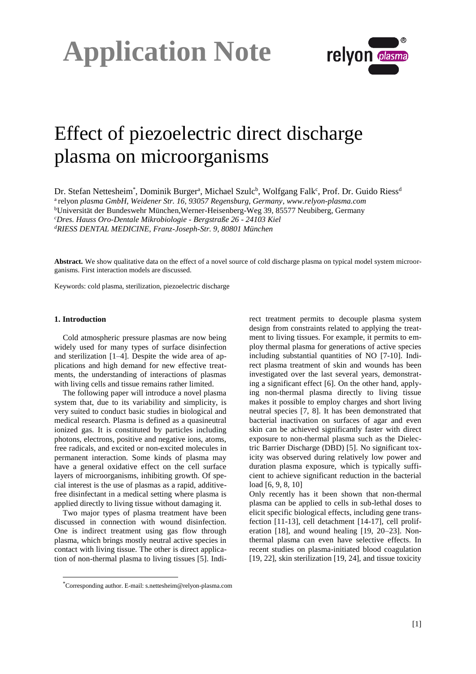



### Effect of piezoelectric direct discharge plasma on microorganisms

Dr. Stefan Nettesheim\*, Dominik Burgerª, Michael Szulc<sup>b</sup>, Wolfgang Falk<sup>c</sup>, Prof. Dr. Guido Riess<sup>d</sup> a relyon *plasma GmbH, Weidener Str. 16, 93057 Regensburg, Germany, www.relyon-plasma.com* <sup>b</sup>Universität der Bundeswehr München,Werner-Heisenberg-Weg 39, 85577 Neubiberg, Germany *<sup>c</sup>Dres. Hauss Oro-Dentale Mikrobiologie - Bergstraße 26 - 24103 Kiel <sup>d</sup>RIESS DENTAL MEDICINE, Franz-Joseph-Str. 9, 80801 München*

**Abstract.** We show qualitative data on the effect of a novel source of cold discharge plasma on typical model system microorganisms. First interaction models are discussed.

Keywords: cold plasma, sterilization, piezoelectric discharge

#### **1. Introduction**

l

Cold atmospheric pressure plasmas are now being widely used for many types of surface disinfection and sterilization [1–4]. Despite the wide area of applications and high demand for new effective treatments, the understanding of interactions of plasmas with living cells and tissue remains rather limited.

The following paper will introduce a novel plasma system that, due to its variability and simplicity, is very suited to conduct basic studies in biological and medical research. Plasma is defined as a quasineutral ionized gas. It is constituted by particles including photons, electrons, positive and negative ions, atoms, free radicals, and excited or non-excited molecules in permanent interaction. Some kinds of plasma may have a general oxidative effect on the cell surface layers of microorganisms, inhibiting growth. Of special interest is the use of plasmas as a rapid, additivefree disinfectant in a medical setting where plasma is applied directly to living tissue without damaging it.

Two major types of plasma treatment have been discussed in connection with wound disinfection. One is indirect treatment using gas flow through plasma, which brings mostly neutral active species in contact with living tissue. The other is direct application of non-thermal plasma to living tissues [5]. Indirect treatment permits to decouple plasma system design from constraints related to applying the treatment to living tissues. For example, it permits to employ thermal plasma for generations of active species including substantial quantities of NO [7-10]. Indirect plasma treatment of skin and wounds has been investigated over the last several years, demonstrating a significant effect [6]. On the other hand, applying non-thermal plasma directly to living tissue makes it possible to employ charges and short living neutral species [7, 8]. It has been demonstrated that bacterial inactivation on surfaces of agar and even skin can be achieved significantly faster with direct exposure to non-thermal plasma such as the Dielectric Barrier Discharge (DBD) [5]. No significant toxicity was observed during relatively low power and duration plasma exposure, which is typically sufficient to achieve significant reduction in the bacterial load [6, 9, 8, 10]

Only recently has it been shown that non-thermal plasma can be applied to cells in sub-lethal doses to elicit specific biological effects, including gene transfection [11-13], cell detachment [14-17], cell proliferation [18], and wound healing [19, 20–23]. Nonthermal plasma can even have selective effects. In recent studies on plasma-initiated blood coagulation [19, 22], skin sterilization [19, 24], and tissue toxicity

<sup>\*</sup>Corresponding author. E-mail: s.nettesheim@relyon-plasma.com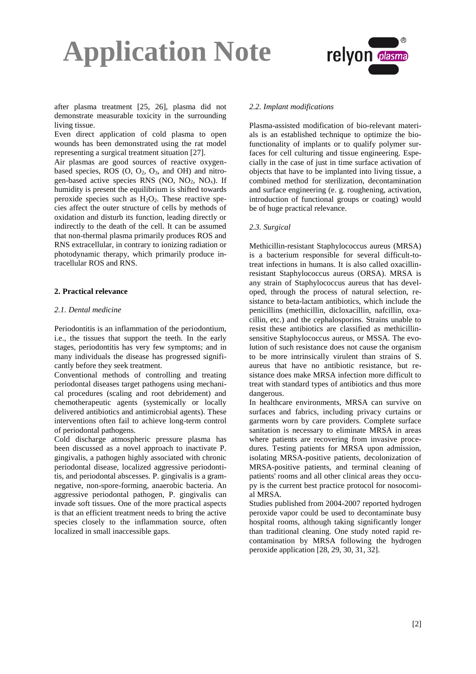



after plasma treatment [25, 26], plasma did not demonstrate measurable toxicity in the surrounding living tissue.

Even direct application of cold plasma to open wounds has been demonstrated using the rat model representing a surgical treatment situation [27].

Air plasmas are good sources of reactive oxygenbased species, ROS  $(0, 0_2, 0_3,$  and OH) and nitrogen-based active species RNS (NO,  $NO<sub>2</sub>$ ,  $NO<sub>x</sub>$ ). If humidity is present the equilibrium is shifted towards peroxide species such as  $H_2O_2$ . These reactive species affect the outer structure of cells by methods of oxidation and disturb its function, leading directly or indirectly to the death of the cell. It can be assumed that non-thermal plasma primarily produces ROS and RNS extracellular, in contrary to ionizing radiation or photodynamic therapy, which primarily produce intracellular ROS and RNS.

#### **2. Practical relevance**

#### *2.1. Dental medicine*

Periodontitis is an inflammation of the periodontium, i.e., the tissues that support the teeth. In the early stages, periodontitis has very few symptoms; and in many individuals the disease has progressed significantly before they seek treatment.

Conventional methods of controlling and treating periodontal diseases target pathogens using mechanical procedures (scaling and root debridement) and chemotherapeutic agents (systemically or locally delivered antibiotics and antimicrobial agents). These interventions often fail to achieve long-term control of periodontal pathogens.

Cold discharge atmospheric pressure plasma has been discussed as a novel approach to inactivate P. gingivalis, a pathogen highly associated with chronic periodontal disease, localized aggressive periodontitis, and periodontal abscesses. P. gingivalis is a gramnegative, non-spore-forming, anaerobic bacteria. An aggressive periodontal pathogen, P. gingivalis can invade soft tissues. One of the more practical aspects is that an efficient treatment needs to bring the active species closely to the inflammation source, often localized in small inaccessible gaps.

#### *2.2. Implant modifications*

Plasma-assisted modification of bio-relevant materials is an established technique to optimize the biofunctionality of implants or to qualify polymer surfaces for cell culturing and tissue engineering. Especially in the case of just in time surface activation of objects that have to be implanted into living tissue, a combined method for sterilization, decontamination and surface engineering (e. g. roughening, activation, introduction of functional groups or coating) would be of huge practical relevance.

#### *2.3. Surgical*

Methicillin-resistant Staphylococcus aureus (MRSA) is a bacterium responsible for several difficult-totreat infections in humans. It is also called oxacillinresistant Staphylococcus aureus (ORSA). MRSA is any strain of Staphylococcus aureus that has developed, through the process of natural selection, resistance to beta-lactam antibiotics, which include the penicillins (methicillin, dicloxacillin, nafcillin, oxacillin, etc.) and the cephalosporins. Strains unable to resist these antibiotics are classified as methicillinsensitive Staphylococcus aureus, or MSSA. The evolution of such resistance does not cause the organism to be more intrinsically virulent than strains of S. aureus that have no antibiotic resistance, but resistance does make MRSA infection more difficult to treat with standard types of antibiotics and thus more dangerous.

In healthcare environments, MRSA can survive on surfaces and fabrics, including privacy curtains or garments worn by care providers. Complete surface sanitation is necessary to eliminate MRSA in areas where patients are recovering from invasive procedures. Testing patients for MRSA upon admission, isolating MRSA-positive patients, decolonization of MRSA-positive patients, and terminal cleaning of patients' rooms and all other clinical areas they occupy is the current best practice protocol for nosocomial MRSA.

Studies published from 2004-2007 reported hydrogen peroxide vapor could be used to decontaminate busy hospital rooms, although taking significantly longer than traditional cleaning. One study noted rapid recontamination by MRSA following the hydrogen peroxide application [28, 29, 30, 31, 32].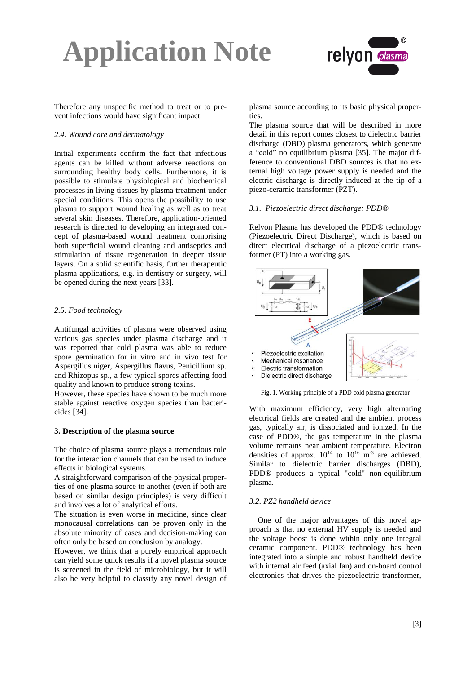

Therefore any unspecific method to treat or to prevent infections would have significant impact.

#### *2.4. Wound care and dermatology*

Initial experiments confirm the fact that infectious agents can be killed without adverse reactions on surrounding healthy body cells. Furthermore, it is possible to stimulate physiological and biochemical processes in living tissues by plasma treatment under special conditions. This opens the possibility to use plasma to support wound healing as well as to treat several skin diseases. Therefore, application-oriented research is directed to developing an integrated concept of plasma-based wound treatment comprising both superficial wound cleaning and antiseptics and stimulation of tissue regeneration in deeper tissue layers. On a solid scientific basis, further therapeutic plasma applications, e.g. in dentistry or surgery, will be opened during the next years [33].

#### *2.5. Food technology*

Antifungal activities of plasma were observed using various gas species under plasma discharge and it was reported that cold plasma was able to reduce spore germination for in vitro and in vivo test for Aspergillus niger, Aspergillus flavus, Penicillium sp. and Rhizopus sp., a few typical spores affecting food quality and known to produce strong toxins.

However, these species have shown to be much more stable against reactive oxygen species than bactericides [34].

#### **3. Description of the plasma source**

The choice of plasma source plays a tremendous role for the interaction channels that can be used to induce effects in biological systems.

A straightforward comparison of the physical properties of one plasma source to another (even if both are based on similar design principles) is very difficult and involves a lot of analytical efforts.

The situation is even worse in medicine, since clear monocausal correlations can be proven only in the absolute minority of cases and decision-making can often only be based on conclusion by analogy.

However, we think that a purely empirical approach can yield some quick results if a novel plasma source is screened in the field of microbiology, but it will also be very helpful to classify any novel design of plasma source according to its basic physical properties.

The plasma source that will be described in more detail in this report comes closest to dielectric barrier discharge (DBD) plasma generators, which generate a "cold" no equilibrium plasma [35]. The major difference to conventional DBD sources is that no external high voltage power supply is needed and the electric discharge is directly induced at the tip of a piezo-ceramic transformer (PZT).

#### *3.1. Piezoelectric direct discharge: PDD®*

Relyon Plasma has developed the PDD® technology (Piezoelectric Direct Discharge), which is based on direct electrical discharge of a piezoelectric transformer (PT) into a working gas.



Fig. 1. Working principle of a PDD cold plasma generator

With maximum efficiency, very high alternating electrical fields are created and the ambient process gas, typically air, is dissociated and ionized. In the case of PDD®, the gas temperature in the plasma volume remains near ambient temperature. Electron densities of approx.  $10^{14}$  to  $10^{16}$  m<sup>-3</sup> are achieved. Similar to dielectric barrier discharges (DBD), PDD® produces a typical "cold" non-equilibrium plasma.

#### *3.2. PZ2 handheld device*

One of the major advantages of this novel approach is that no external HV supply is needed and the voltage boost is done within only one integral ceramic component. PDD® technology has been integrated into a simple and robust handheld device with internal air feed (axial fan) and on-board control electronics that drives the piezoelectric transformer,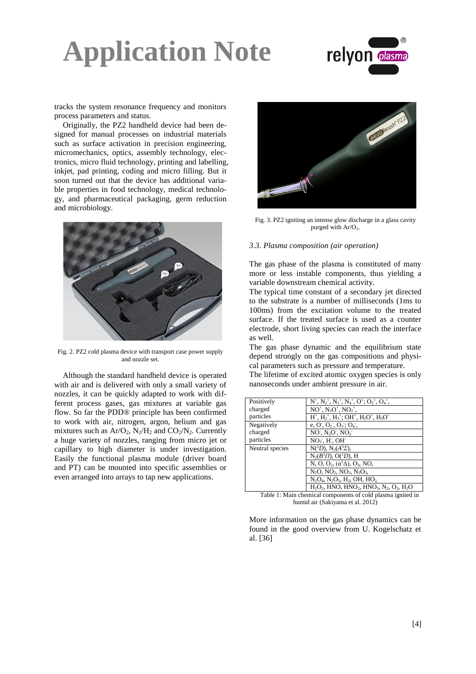

tracks the system resonance frequency and monitors process parameters and status.

Originally, the PZ2 handheld device had been designed for manual processes on industrial materials such as surface activation in precision engineering, micromechanics, optics, assembly technology, electronics, micro fluid technology, printing and labelling, inkjet, pad printing, coding and micro filling. But it soon turned out that the device has additional variable properties in food technology, medical technology, and pharmaceutical packaging, germ reduction and microbiology.



Fig. 2. PZ2 cold plasma device with transport case power supply and nozzle set.

Although the standard handheld device is operated with air and is delivered with only a small variety of nozzles, it can be quickly adapted to work with different process gases, gas mixtures at variable gas flow. So far the PDD® principle has been confirmed to work with air, nitrogen, argon, helium and gas mixtures such as  $Ar/O_2$ ,  $N_2/H_2$  and  $CO_2/N_2$ . Currently a huge variety of nozzles, ranging from micro jet or capillary to high diameter is under investigation. Easily the functional plasma module (driver board and PT) can be mounted into specific assemblies or even arranged into arrays to tap new applications.



Fig. 3. PZ2 igniting an intense glow discharge in a glass cavity purged with  $Ar/O<sub>2</sub>$ .

#### *3.3. Plasma composition (air operation)*

The gas phase of the plasma is constituted of many more or less instable components, thus yielding a variable downstream chemical activity.

The typical time constant of a secondary jet directed to the substrate is a number of milliseconds (1ms to 100ms) from the excitation volume to the treated surface. If the treated surface is used as a counter electrode, short living species can reach the interface as well.

The gas phase dynamic and the equilibrium state depend strongly on the gas compositions and physical parameters such as pressure and temperature.

The lifetime of excited atomic oxygen species is only nanoseconds under ambient pressure in air.

| Positively      | $N^+$ , $N_2^+$ , $N_3^+$ , $N_4^+$ , $O^+$ ; $O_2^+$ , $O_4^+$ ,                                                      |
|-----------------|------------------------------------------------------------------------------------------------------------------------|
| charged         | $NO^+$ , $N_2O^+$ , $NO_2^+$ ,                                                                                         |
| particles       | $H^+$ , $H_2^+$ , $H_3^+$ ; OH <sup>+</sup> , $H_2O^+$ , $H_3O^+$                                                      |
| Negatively      | e, O, O <sub>2</sub> , O <sub>3</sub> ; O <sub>4</sub> ,                                                               |
| charged         | $NO$ , $N2O$ , $NO2$                                                                                                   |
| particles       | $NO3$ , $H3$ , $OH3$                                                                                                   |
| Neutral species | $N(^2D)$ , $N_2(A^3\Sigma)$ ,                                                                                          |
|                 | $N_2(B^3\Pi)$ , O( <sup>1</sup> D), H                                                                                  |
|                 | N, O, O <sub>2</sub> , $(\alpha^1\Delta)$ , O <sub>3</sub> , NO,                                                       |
|                 | $N_2O$ , $NO_2$ , $NO_3$ , $N_2O_3$ ,                                                                                  |
|                 | $N_2O_4$ , $N_2O_5$ , $H_2$ , OH, $HO_2$                                                                               |
|                 | $H_2O_2$ , HNO, HNO <sub>2</sub> , HNO <sub>3</sub> , N <sub>2</sub> , O <sub>2</sub> , H <sub>2</sub> O               |
|                 | <b>THE REPORT OF STRAINING AND REPORT OF A STRAIN AND REPORT OF A STRAIN AND REPORT OF A STRAIN AND REPORT OF A ST</b> |

Table 1: Main chemical components of cold plasma ignited in humid air (Sakiyama et al. 2012)

More information on the gas phase dynamics can be found in the good overview from U. Kogelschatz et al. [36]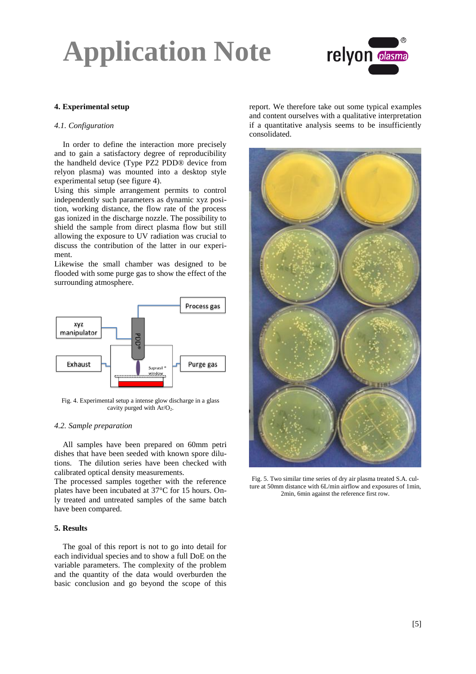

#### **4. Experimental setup**

#### *4.1. Configuration*

In order to define the interaction more precisely and to gain a satisfactory degree of reproducibility the handheld device (Type PZ2 PDD® device from relyon plasma) was mounted into a desktop style experimental setup (see figure 4).

Using this simple arrangement permits to control independently such parameters as dynamic xyz position, working distance, the flow rate of the process gas ionized in the discharge nozzle. The possibility to shield the sample from direct plasma flow but still allowing the exposure to UV radiation was crucial to discuss the contribution of the latter in our experiment.

Likewise the small chamber was designed to be flooded with some purge gas to show the effect of the surrounding atmosphere.



Fig. 4. Experimental setup a intense glow discharge in a glass cavity purged with  $Ar/O<sub>2</sub>$ .

#### *4.2. Sample preparation*

All samples have been prepared on 60mm petri dishes that have been seeded with known spore dilutions. The dilution series have been checked with calibrated optical density measurements.

The processed samples together with the reference plates have been incubated at 37°C for 15 hours. Only treated and untreated samples of the same batch have been compared.

#### **5. Results**

The goal of this report is not to go into detail for each individual species and to show a full DoE on the variable parameters. The complexity of the problem and the quantity of the data would overburden the basic conclusion and go beyond the scope of this

report. We therefore take out some typical examples and content ourselves with a qualitative interpretation if a quantitative analysis seems to be insufficiently consolidated.



Fig. 5. Two similar time series of dry air plasma treated S.A. culture at 50mm distance with 6L/min airflow and exposures of 1min, 2min, 6min against the reference first row.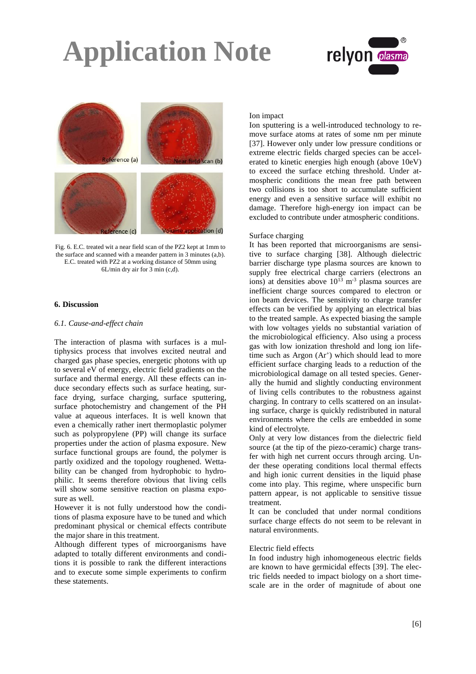



Fig. 6. E.C. treated wit a near field scan of the PZ2 kept at 1mm to the surface and scanned with a meander pattern in 3 minutes (a,b). E.C. treated with PZ2 at a working distance of 50mm using 6L/min dry air for 3 min (c,d).

#### **6. Discussion**

#### *6.1. Cause-and-effect chain*

The interaction of plasma with surfaces is a multiphysics process that involves excited neutral and charged gas phase species, energetic photons with up to several eV of energy, electric field gradients on the surface and thermal energy. All these effects can induce secondary effects such as surface heating, surface drying, surface charging, surface sputtering, surface photochemistry and changement of the PH value at aqueous interfaces. It is well known that even a chemically rather inert thermoplastic polymer such as polypropylene (PP) will change its surface properties under the action of plasma exposure. New surface functional groups are found, the polymer is partly oxidized and the topology roughened. Wettability can be changed from hydrophobic to hydrophilic. It seems therefore obvious that living cells will show some sensitive reaction on plasma exposure as well.

However it is not fully understood how the conditions of plasma exposure have to be tuned and which predominant physical or chemical effects contribute the major share in this treatment.

Although different types of microorganisms have adapted to totally different environments and conditions it is possible to rank the different interactions and to execute some simple experiments to confirm these statements.

#### Ion impact

Ion sputtering is a well-introduced technology to remove surface atoms at rates of some nm per minute [37]. However only under low pressure conditions or extreme electric fields charged species can be accelerated to kinetic energies high enough (above 10eV) to exceed the surface etching threshold. Under atmospheric conditions the mean free path between two collisions is too short to accumulate sufficient energy and even a sensitive surface will exhibit no damage. Therefore high-energy ion impact can be excluded to contribute under atmospheric conditions.

#### Surface charging

It has been reported that microorganisms are sensitive to surface charging [38]. Although dielectric barrier discharge type plasma sources are known to supply free electrical charge carriers (electrons an ions) at densities above  $10^{13}$  m<sup>-3</sup> plasma sources are inefficient charge sources compared to electron or ion beam devices. The sensitivity to charge transfer effects can be verified by applying an electrical bias to the treated sample. As expected biasing the sample with low voltages yields no substantial variation of the microbiological efficiency. Also using a process gas with low ionization threshold and long ion lifetime such as Argon (Ar<sup>+</sup>) which should lead to more efficient surface charging leads to a reduction of the microbiological damage on all tested species. Generally the humid and slightly conducting environment of living cells contributes to the robustness against charging. In contrary to cells scattered on an insulating surface, charge is quickly redistributed in natural environments where the cells are embedded in some kind of electrolyte.

Only at very low distances from the dielectric field source (at the tip of the piezo-ceramic) charge transfer with high net current occurs through arcing. Under these operating conditions local thermal effects and high ionic current densities in the liquid phase come into play. This regime, where unspecific burn pattern appear, is not applicable to sensitive tissue treatment.

It can be concluded that under normal conditions surface charge effects do not seem to be relevant in natural environments.

#### Electric field effects

In food industry high inhomogeneous electric fields are known to have germicidal effects [39]. The electric fields needed to impact biology on a short timescale are in the order of magnitude of about one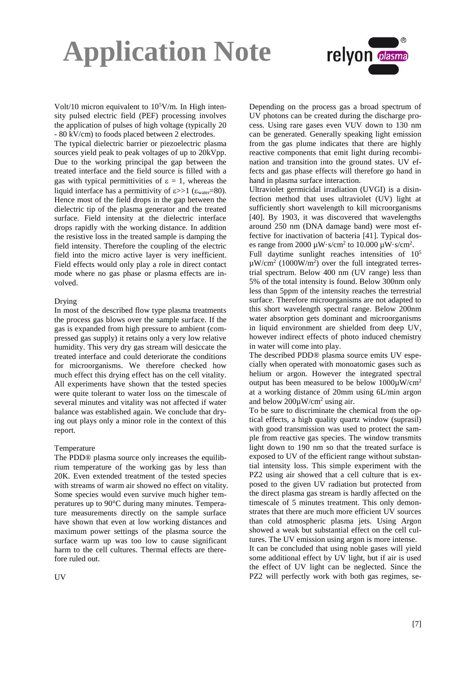

Volt/10 micron equivalent to  $10<sup>5</sup>$ V/m. In High intensity pulsed electric field (PEF) processing involves the application of pulses of high voltage (typically 20 - 80 kV/cm) to foods placed between 2 electrodes.

The typical dielectric barrier or piezoelectric plasma sources yield peak to peak voltages of up to 20kVpp. Due to the working principal the gap between the treated interface and the field source is filled with a gas with typical permittivities of  $\varepsilon = 1$ , whereas the liquid interface has a permittivity of  $\epsilon \gg 1$  ( $\epsilon_{\text{water}} = 80$ ). Hence most of the field drops in the gap between the dielectric tip of the plasma generator and the treated surface. Field intensity at the dielectric interface drops rapidly with the working distance. In addition the resistive loss in the treated sample is damping the field intensity. Therefore the coupling of the electric field into the micro active layer is very inefficient. Field effects would only play a role in direct contact mode where no gas phase or plasma effects are involved.

#### Drying

In most of the described flow type plasma treatments the process gas blows over the sample surface. If the gas is expanded from high pressure to ambient (compressed gas supply) it retains only a very low relative humidity. This very dry gas stream will desiccate the treated interface and could deteriorate the conditions for microorganisms. We therefore checked how much effect this drying effect has on the cell vitality. All experiments have shown that the tested species were quite tolerant to water loss on the timescale of several minutes and vitality was not affected if water balance was established again. We conclude that drying out plays only a minor role in the context of this report.

#### Temperature

The PDD® plasma source only increases the equilibrium temperature of the working gas by less than 20K. Even extended treatment of the tested species with streams of warm air showed no effect on vitality. Some species would even survive much higher temperatures up to 90°C during many minutes. Temperature measurements directly on the sample surface have shown that even at low working distances and maximum power settings of the plasma source the surface warm up was too low to cause significant harm to the cell cultures. Thermal effects are therefore ruled out.

UV

Depending on the process gas a broad spectrum of UV photons can be created during the discharge process. Using rare gases even VUV down to 130 nm can be generated. Generally speaking light emission from the gas plume indicates that there are highly reactive components that emit light during recombination and transition into the ground states. UV effects and gas phase effects will therefore go hand in hand in plasma surface interaction.

Ultraviolet germicidal irradiation (UVGI) is a disinfection method that uses ultraviolet (UV) light at sufficiently short wavelength to kill microorganisms [40]. By 1903, it was discovered that wavelengths around 250 nm (DNA damage band) were most effective for inactivation of bacteria [41]. Typical doses range from 2000  $\mu$ W·s/cm<sup>2</sup> to 10.000  $\mu$ W·s/cm<sup>2</sup>.

Full daytime sunlight reaches intensities of  $10^5$  $\mu$ W/cm<sup>2</sup> (1000W/m<sup>2</sup>) over the full integrated terrestrial spectrum. Below 400 nm (UV range) less than 5% of the total intensity is found. Below 300nm only less than 5ppm of the intensity reaches the terrestrial surface. Therefore microorganisms are not adapted to this short wavelength spectral range. Below 200nm water absorption gets dominant and microorganisms in liquid environment are shielded from deep UV, however indirect effects of photo induced chemistry in water will come into play.

The described PDD® plasma source emits UV especially when operated with monoatomic gases such as helium or argon. However the integrated spectral output has been measured to be below  $1000\mu\text{W/cm}^2$ at a working distance of 20mm using 6L/min argon and below  $200\mu$ W/cm<sup>2</sup> using air.

To be sure to discriminate the chemical from the optical effects, a high quality quartz window (suprasil) with good transmission was used to protect the sample from reactive gas species. The window transmits light down to 190 nm so that the treated surface is exposed to UV of the efficient range without substantial intensity loss. This simple experiment with the PZ2 using air showed that a cell culture that is exposed to the given UV radiation but protected from the direct plasma gas stream is hardly affected on the timescale of 5 minutes treatment. This only demonstrates that there are much more efficient UV sources than cold atmospheric plasma jets. Using Argon showed a weak but substantial effect on the cell cultures. The UV emission using argon is more intense.

It can be concluded that using noble gases will yield some additional effect by UV light, but if air is used the effect of UV light can be neglected. Since the PZ2 will perfectly work with both gas regimes, se-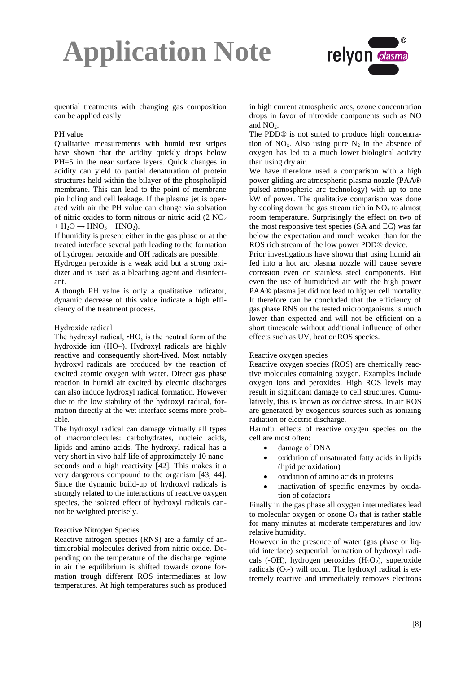

quential treatments with changing gas composition can be applied easily.

#### PH value

Qualitative measurements with humid test stripes have shown that the acidity quickly drops below PH=5 in the near surface layers. Quick changes in acidity can yield to partial denaturation of protein structures held within the bilayer of the phospholipid membrane. This can lead to the point of membrane pin holing and cell leakage. If the plasma jet is operated with air the PH value can change via solvation of nitric oxides to form nitrous or nitric acid  $(2 \text{ NO}_2)$ +  $H_2O \rightarrow HNO_3 + HNO_2$ ).

If humidity is present either in the gas phase or at the treated interface several path leading to the formation of hydrogen peroxide and OH radicals are possible.

Hydrogen peroxide is a weak acid but a strong oxidizer and is used as a bleaching agent and disinfectant.

Although PH value is only a qualitative indicator, dynamic decrease of this value indicate a high efficiency of the treatment process.

#### Hydroxide radical

The hydroxyl radical, •HO, is the neutral form of the hydroxide ion (HO–). Hydroxyl radicals are highly reactive and consequently short-lived. Most notably hydroxyl radicals are produced by the reaction of excited atomic oxygen with water. Direct gas phase reaction in humid air excited by electric discharges can also induce hydroxyl radical formation. However due to the low stability of the hydroxyl radical, formation directly at the wet interface seems more probable.

The hydroxyl radical can damage virtually all types of macromolecules: carbohydrates, nucleic acids, lipids and amino acids. The hydroxyl radical has a very short in vivo half-life of approximately 10 nanoseconds and a high reactivity [42]. This makes it a very dangerous compound to the organism [43, 44]. Since the dynamic build-up of hydroxyl radicals is strongly related to the interactions of reactive oxygen species, the isolated effect of hydroxyl radicals cannot be weighted precisely.

#### Reactive Nitrogen Species

Reactive nitrogen species (RNS) are a family of antimicrobial molecules derived from nitric oxide. Depending on the temperature of the discharge regime in air the equilibrium is shifted towards ozone formation trough different ROS intermediates at low temperatures. At high temperatures such as produced

in high current atmospheric arcs, ozone concentration drops in favor of nitroxide components such as NO and  $NO<sub>2</sub>$ .

The PDD® is not suited to produce high concentration of  $NO<sub>x</sub>$ . Also using pure  $N<sub>2</sub>$  in the absence of oxygen has led to a much lower biological activity than using dry air.

We have therefore used a comparison with a high power gliding arc atmospheric plasma nozzle (PAA® pulsed atmospheric arc technology) with up to one kW of power. The qualitative comparison was done by cooling down the gas stream rich in  $NO<sub>x</sub>$  to almost room temperature. Surprisingly the effect on two of the most responsive test species (SA and EC) was far below the expectation and much weaker than for the ROS rich stream of the low power PDD® device.

Prior investigations have shown that using humid air fed into a hot arc plasma nozzle will cause severe corrosion even on stainless steel components. But even the use of humidified air with the high power PAA® plasma jet did not lead to higher cell mortality. It therefore can be concluded that the efficiency of gas phase RNS on the tested microorganisms is much lower than expected and will not be efficient on a short timescale without additional influence of other effects such as UV, heat or ROS species.

#### Reactive oxygen species

Reactive oxygen species (ROS) are chemically reactive molecules containing oxygen. Examples include oxygen ions and peroxides. High ROS levels may result in significant damage to cell structures. Cumulatively, this is known as oxidative stress. In air ROS are generated by exogenous sources such as ionizing radiation or electric discharge.

Harmful effects of reactive oxygen species on the cell are most often:

- damage of DNA
- oxidation of unsaturated fatty acids in lipids (lipid peroxidation)
- oxidation of amino acids in proteins
- inactivation of specific enzymes by oxidation of cofactors

Finally in the gas phase all oxygen intermediates lead to molecular oxygen or ozone  $O_3$  that is rather stable for many minutes at moderate temperatures and low relative humidity.

However in the presence of water (gas phase or liquid interface) sequential formation of hydroxyl radicals (-OH), hydrogen peroxides  $(H<sub>2</sub>O<sub>2</sub>)$ , superoxide radicals  $(O_{2}$ -) will occur. The hydroxyl radical is extremely reactive and immediately removes electrons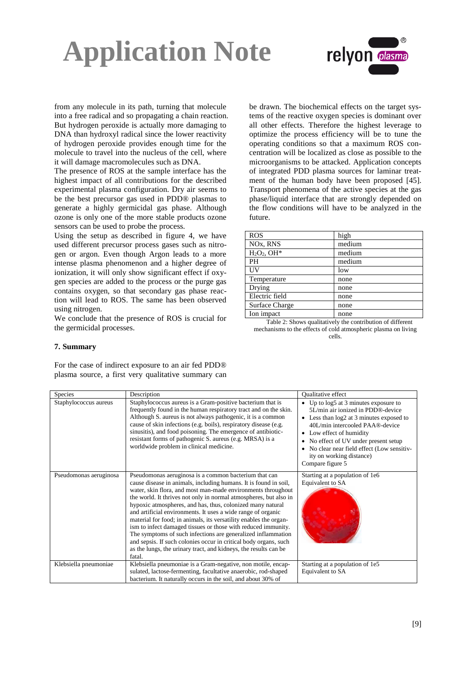

from any molecule in its path, turning that molecule into a free radical and so propagating a chain reaction. But hydrogen peroxide is actually more damaging to DNA than hydroxyl radical since the lower reactivity of hydrogen peroxide provides enough time for the molecule to travel into the nucleus of the cell, where it will damage macromolecules such as DNA.

The presence of ROS at the sample interface has the highest impact of all contributions for the described experimental plasma configuration. Dry air seems to be the best precursor gas used in PDD® plasmas to generate a highly germicidal gas phase. Although ozone is only one of the more stable products ozone sensors can be used to probe the process.

Using the setup as described in figure 4, we have used different precursor process gases such as nitrogen or argon. Even though Argon leads to a more intense plasma phenomenon and a higher degree of ionization, it will only show significant effect if oxygen species are added to the process or the purge gas contains oxygen, so that secondary gas phase reaction will lead to ROS. The same has been observed using nitrogen.

We conclude that the presence of ROS is crucial for the germicidal processes.

be drawn. The biochemical effects on the target systems of the reactive oxygen species is dominant over all other effects. Therefore the highest leverage to optimize the process efficiency will be to tune the operating conditions so that a maximum ROS concentration will be localized as close as possible to the microorganisms to be attacked. Application concepts of integrated PDD plasma sources for laminar treatment of the human body have been proposed [45]. Transport phenomena of the active species at the gas phase/liquid interface that are strongly depended on the flow conditions will have to be analyzed in the future.

| <b>ROS</b>                        | high   |
|-----------------------------------|--------|
| NO <sub>x</sub> , R <sub>NS</sub> | medium |
| $H2O2$ , OH*                      | medium |
| <b>PH</b>                         | medium |
| UV                                | low    |
| Temperature                       | none   |
| Drying                            | none   |
| Electric field                    | none   |
| <b>Surface Charge</b>             | none   |
| Ion impact                        | none   |

Table 2: Shows qualitatively the contribution of different mechanisms to the effects of cold atmospheric plasma on living cells.

#### **7. Summary**

For the case of indirect exposure to an air fed PDD® plasma source, a first very qualitative summary can

| Species                | Description                                                                                                                                                                                                                                                                                                                                                                                                                                                                                                                                                                                                                                                                                                                                          | <b>Oualitative effect</b>                                                                                                                                                                                                                                                                                                                       |
|------------------------|------------------------------------------------------------------------------------------------------------------------------------------------------------------------------------------------------------------------------------------------------------------------------------------------------------------------------------------------------------------------------------------------------------------------------------------------------------------------------------------------------------------------------------------------------------------------------------------------------------------------------------------------------------------------------------------------------------------------------------------------------|-------------------------------------------------------------------------------------------------------------------------------------------------------------------------------------------------------------------------------------------------------------------------------------------------------------------------------------------------|
| Staphylococcus aureus  | Staphylococcus aureus is a Gram-positive bacterium that is<br>frequently found in the human respiratory tract and on the skin.<br>Although S. aureus is not always pathogenic, it is a common<br>cause of skin infections (e.g. boils), respiratory disease (e.g.<br>sinusitis), and food poisoning. The emergence of antibiotic-<br>resistant forms of pathogenic S. aureus (e.g. MRSA) is a<br>worldwide problem in clinical medicine.                                                                                                                                                                                                                                                                                                             | • Up to $log5$ at 3 minutes exposure to<br>5L/min air ionized in PDD®-device<br>• Less than $log2$ at 3 minutes exposed to<br>40L/min intercooled PAA®-device<br>• Low effect of humidity<br>No effect of UV under present setup<br>$\bullet$<br>No clear near field effect (Low sensitiv-<br>٠<br>ity on working distance)<br>Compare figure 5 |
| Pseudomonas aeruginosa | Pseudomonas aeruginosa is a common bacterium that can<br>cause disease in animals, including humans. It is found in soil,<br>water, skin flora, and most man-made environments throughout<br>the world. It thrives not only in normal atmospheres, but also in<br>hypoxic atmospheres, and has, thus, colonized many natural<br>and artificial environments. It uses a wide range of organic<br>material for food; in animals, its versatility enables the organ-<br>ism to infect damaged tissues or those with reduced immunity.<br>The symptoms of such infections are generalized inflammation<br>and sepsis. If such colonies occur in critical body organs, such<br>as the lungs, the urinary tract, and kidneys, the results can be<br>fatal. | Starting at a population of 1e6<br>Equivalent to SA                                                                                                                                                                                                                                                                                             |
| Klebsiella pneumoniae  | Klebsiella pneumoniae is a Gram-negative, non motile, encap-<br>sulated, lactose-fermenting, facultative anaerobic, rod-shaped                                                                                                                                                                                                                                                                                                                                                                                                                                                                                                                                                                                                                       | Starting at a population of 1e5<br>Equivalent to SA                                                                                                                                                                                                                                                                                             |
|                        | bacterium. It naturally occurs in the soil, and about 30% of                                                                                                                                                                                                                                                                                                                                                                                                                                                                                                                                                                                                                                                                                         |                                                                                                                                                                                                                                                                                                                                                 |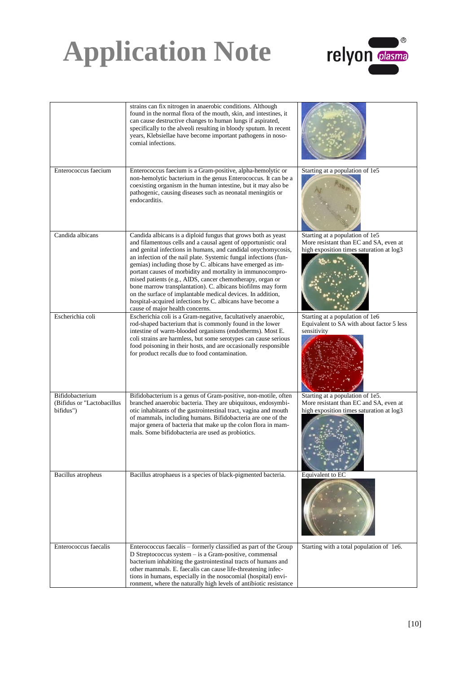

|                                                            | strains can fix nitrogen in anaerobic conditions. Although<br>found in the normal flora of the mouth, skin, and intestines, it<br>can cause destructive changes to human lungs if aspirated,<br>specifically to the alveoli resulting in bloody sputum. In recent<br>years, Klebsiellae have become important pathogens in noso-<br>comial infections.                                                                                                                                                                                                                                                                                                                                      |                                                                                                                        |
|------------------------------------------------------------|---------------------------------------------------------------------------------------------------------------------------------------------------------------------------------------------------------------------------------------------------------------------------------------------------------------------------------------------------------------------------------------------------------------------------------------------------------------------------------------------------------------------------------------------------------------------------------------------------------------------------------------------------------------------------------------------|------------------------------------------------------------------------------------------------------------------------|
| Enterococcus faecium                                       | Enterococcus faecium is a Gram-positive, alpha-hemolytic or<br>non-hemolytic bacterium in the genus Enterococcus. It can be a<br>coexisting organism in the human intestine, but it may also be<br>pathogenic, causing diseases such as neonatal meningitis or<br>endocarditis.                                                                                                                                                                                                                                                                                                                                                                                                             | Starting at a population of 1e5                                                                                        |
| Candida albicans                                           | Candida albicans is a diploid fungus that grows both as yeast<br>and filamentous cells and a causal agent of opportunistic oral<br>and genital infections in humans, and candidal onychomycosis,<br>an infection of the nail plate. Systemic fungal infections (fun-<br>gemias) including those by C. albicans have emerged as im-<br>portant causes of morbidity and mortality in immunocompro-<br>mised patients (e.g., AIDS, cancer chemotherapy, organ or<br>bone marrow transplantation). C. albicans biofilms may form<br>on the surface of implantable medical devices. In addition,<br>hospital-acquired infections by C. albicans have become a<br>cause of major health concerns. | Starting at a population of 1e5<br>More resistant than EC and SA, even at<br>high exposition times saturation at log3  |
| Escherichia coli                                           | Escherichia coli is a Gram-negative, facultatively anaerobic,<br>rod-shaped bacterium that is commonly found in the lower<br>intestine of warm-blooded organisms (endotherms). Most E.<br>coli strains are harmless, but some serotypes can cause serious<br>food poisoning in their hosts, and are occasionally responsible<br>for product recalls due to food contamination.                                                                                                                                                                                                                                                                                                              | Starting at a population of 1e6<br>Equivalent to SA with about factor 5 less<br>sensitivity                            |
| Bifidobacterium<br>(Bifidus or "Lactobacillus<br>bifidus") | Bifidobacterium is a genus of Gram-positive, non-motile, often<br>branched anaerobic bacteria. They are ubiquitous, endosymbi-<br>otic inhabitants of the gastrointestinal tract, vagina and mouth<br>of mammals, including humans. Bifidobacteria are one of the<br>major genera of bacteria that make up the colon flora in mam-<br>mals. Some bifidobacteria are used as probiotics.                                                                                                                                                                                                                                                                                                     | Starting at a population of 1e5.<br>More resistant than EC and SA, even at<br>high exposition times saturation at log3 |
| Bacillus atropheus                                         | Bacillus atrophaeus is a species of black-pigmented bacteria.                                                                                                                                                                                                                                                                                                                                                                                                                                                                                                                                                                                                                               | Equivalent to EC                                                                                                       |
| Enterococcus faecalis                                      | Enterococcus faecalis - formerly classified as part of the Group<br>D Streptococcus system - is a Gram-positive, commensal<br>bacterium inhabiting the gastrointestinal tracts of humans and<br>other mammals. E. faecalis can cause life-threatening infec-<br>tions in humans, especially in the nosocomial (hospital) envi-<br>ronment, where the naturally high levels of antibiotic resistance                                                                                                                                                                                                                                                                                         | Starting with a total population of 1e6.                                                                               |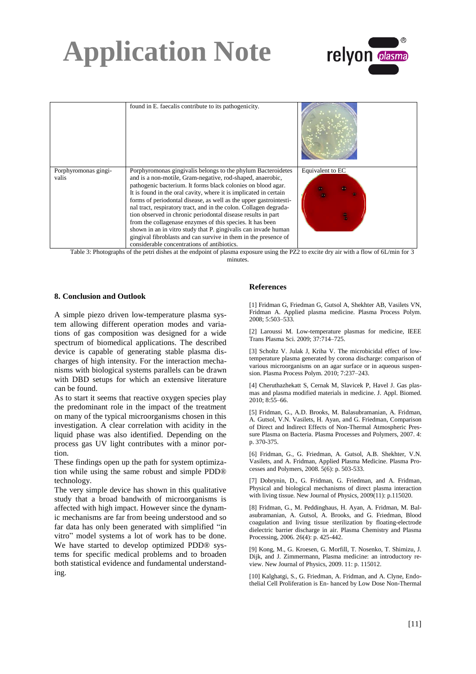

|                               | found in E. faecalis contribute to its pathogenicity.                                                                                                                                                                                                                                                                                                                                                                                                                                                                                                                                                                                                                                                                      |                  |
|-------------------------------|----------------------------------------------------------------------------------------------------------------------------------------------------------------------------------------------------------------------------------------------------------------------------------------------------------------------------------------------------------------------------------------------------------------------------------------------------------------------------------------------------------------------------------------------------------------------------------------------------------------------------------------------------------------------------------------------------------------------------|------------------|
| Porphyromonas gingi-<br>valis | Porphyromonas gingivalis belongs to the phylum Bacteroidetes<br>and is a non-motile, Gram-negative, rod-shaped, anaerobic,<br>pathogenic bacterium. It forms black colonies on blood agar.<br>It is found in the oral cavity, where it is implicated in certain<br>forms of periodontal disease, as well as the upper gastrointesti-<br>nal tract, respiratory tract, and in the colon. Collagen degrada-<br>tion observed in chronic periodontal disease results in part<br>from the collagenase enzymes of this species. It has been<br>shown in an in vitro study that P. gingivalis can invade human<br>gingival fibroblasts and can survive in them in the presence of<br>considerable concentrations of antibiotics. | Equivalent to EC |

Table 3: Photographs of the petri dishes at the endpoint of plasma exposure using the PZ2 to excite dry air with a flow of 6L/min for 3 minutes

#### **8. Conclusion and Outlook**

A simple piezo driven low-temperature plasma system allowing different operation modes and variations of gas composition was designed for a wide spectrum of biomedical applications. The described device is capable of generating stable plasma discharges of high intensity. For the interaction mechanisms with biological systems parallels can be drawn with DBD setups for which an extensive literature can be found.

As to start it seems that reactive oxygen species play the predominant role in the impact of the treatment on many of the typical microorganisms chosen in this investigation. A clear correlation with acidity in the liquid phase was also identified. Depending on the process gas UV light contributes with a minor portion.

These findings open up the path for system optimization while using the same robust and simple PDD® technology.

The very simple device has shown in this qualitative study that a broad bandwith of microorganisms is affected with high impact. However since the dynamic mechanisms are far from beeing understood and so far data has only been generated with simplified "in vitro" model systems a lot of work has to be done. We have started to develop optimized PDD® systems for specific medical problems and to broaden both statistical evidence and fundamental understanding.

#### **References**

[1] Fridman G, Friedman G, Gutsol A, Shekhter AB, Vasilets VN, Fridman A. Applied plasma medicine. Plasma Process Polym. 2008; 5:503–533.

[2] Laroussi M. Low-temperature plasmas for medicine, IEEE Trans Plasma Sci. 2009; 37:714–725.

[3] Scholtz V. Julak J. Kriha V. The microbicidal effect of lowtemperature plasma generated by corona discharge: comparison of various microorganisms on an agar surface or in aqueous suspension. Plasma Process Polym. 2010; 7:237–243.

[4] Cheruthazhekatt S, Cernak M, Slavicek P, Havel J. Gas plasmas and plasma modified materials in medicine. J. Appl. Biomed. 2010; 8:55–66.

[5] Fridman, G., A.D. Brooks, M. Balasubramanian, A. Fridman, A. Gutsol, V.N. Vasilets, H. Ayan, and G. Friedman, Comparison of Direct and Indirect Effects of Non-Thermal Atmospheric Pressure Plasma on Bacteria. Plasma Processes and Polymers, 2007. 4: p. 370-375.

[6] Fridman, G., G. Friedman, A. Gutsol, A.B. Shekhter, V.N. Vasilets, and A. Fridman, Applied Plasma Medicine. Plasma Processes and Polymers, 2008. 5(6): p. 503-533.

[7] Dobrynin, D., G. Fridman, G. Friedman, and A. Fridman, Physical and biological mechanisms of direct plasma interaction with living tissue. New Journal of Physics, 2009(11): p.115020.

[8] Fridman, G., M. Peddinghaus, H. Ayan, A. Fridman, M. Balasubramanian, A. Gutsol, A. Brooks, and G. Friedman, Blood coagulation and living tissue sterilization by floating-electrode dielectric barrier discharge in air. Plasma Chemistry and Plasma Processing, 2006. 26(4): p. 425-442.

[9] Kong, M., G. Kroesen, G. Morfill, T. Nosenko, T. Shimizu, J. Dijk, and J. Zimmermann, Plasma medicine: an introductory review. New Journal of Physics, 2009. 11: p. 115012.

[10] Kalghatgi, S., G. Friedman, A. Fridman, and A. Clyne, Endothelial Cell Proliferation is En- hanced by Low Dose Non-Thermal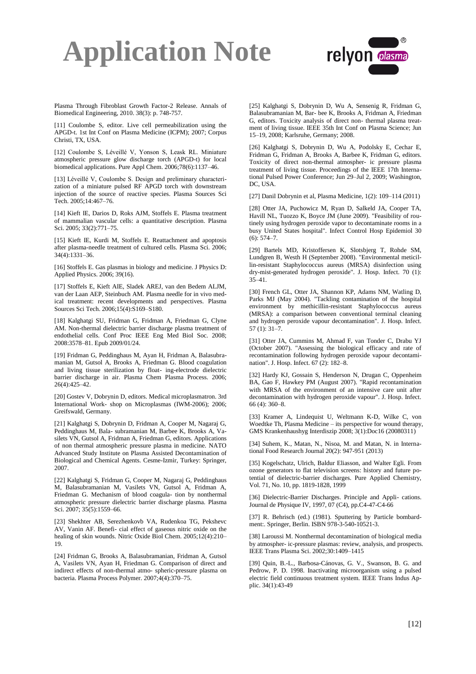

Plasma Through Fibroblast Growth Factor-2 Release. Annals of Biomedical Engineering, 2010. 38(3): p. 748-757.

[11] Coulombe S, editor. Live cell permeabilization using the APGD-t. 1st Int Conf on Plasma Medicine (ICPM); 2007; Corpus Christi, TX, USA.

[12] Coulombe S, Léveillé V, Yonson S, Leask RL. Miniature atmospheric pressure glow discharge torch (APGD-t) for local biomedical applications. Pure Appl Chem. 2006;78(6):1137–46.

[13] Léveillé V, Coulombe S. Design and preliminary characterization of a miniature pulsed RF APGD torch with downstream injection of the source of reactive species. Plasma Sources Sci Tech. 2005;14:467–76.

[14] Kieft IE, Darios D, Roks AJM, Stoffels E. Plasma treatment of mammalian vascular cells: a quantitative description. Plasma Sci. 2005; 33(2):771–75.

[15] Kieft IE, Kurdi M, Stoffels E. Reattachment and apoptosis after plasma-needle treatment of cultured cells. Plasma Sci. 2006; 34(4):1331–36.

[16] Stoffels E. Gas plasmas in biology and medicine. J Physics D: Applied Physics. 2006; 39(16).

[17] Stoffels E, Kieft AIE, Sladek AREJ, van den Bedem ALJM, van der Laan AEP, Steinbuch AM. Plasma needle for in vivo medical treatment: recent developments and perspectives. Plasma Sources Sci Tech. 2006;15(4):S169–S180.

[18] Kalghatgi SU, Fridman G, Fridman A, Friedman G, Clyne AM. Non-thermal dielectric barrier discharge plasma treatment of endothelial cells. Conf Proc IEEE Eng Med Biol Soc. 2008; 2008:3578–81. Epub 2009/01/24.

[19] Fridman G, Peddinghaus M, Ayan H, Fridman A, Balasubramanian M, Gutsol A, Brooks A, Friedman G. Blood coagulation and living tissue sterilization by float- ing-electrode dielectric barrier discharge in air. Plasma Chem Plasma Process. 2006; 26(4):425–42.

[20] Gostev V, Dobrynin D, editors. Medical microplasmatron. 3rd International Work- shop on Microplasmas (IWM-2006); 2006; Greifswald, Germany.

[21] Kalghatgi S, Dobrynin D, Fridman A, Cooper M, Nagaraj G, Peddinghaus M, Bala- subramanian M, Barbee K, Brooks A, Vasilets VN, Gutsol A, Fridman A, Friedman G, editors. Applications of non thermal atmospheric pressure plasma in medicine. NATO Advanced Study Institute on Plasma Assisted Decontamination of Biological and Chemical Agents. Cesme-Izmir, Turkey: Springer, 2007.

[22] Kalghatgi S, Fridman G, Cooper M, Nagaraj G, Peddinghaus M, Balasubramanian M, Vasilets VN, Gutsol A, Fridman A, Friedman G. Mechanism of blood coagula- tion by nonthermal atmospheric pressure dielectric barrier discharge plasma. Plasma Sci. 2007; 35(5):1559–66.

[23] Shekhter AB, Serezhenkovb VA, Rudenkoa TG, Pekshevc AV, Vanin AF. Benefi- cial effect of gaseous nitric oxide on the healing of skin wounds. Nitric Oxide Biol Chem. 2005;12(4):210– 19.

[24] Fridman G, Brooks A, Balasubramanian, Fridman A, Gutsol A, Vasilets VN, Ayan H, Friedman G. Comparison of direct and indirect effects of non-thermal atmo- spheric-pressure plasma on bacteria. Plasma Process Polymer. 2007;4(4):370–75.

[25] Kalghatgi S, Dobrynin D, Wu A, Sensenig R, Fridman G, Balasubramanian M, Bar- bee K, Brooks A, Fridman A, Friedman G, editors. Toxicity analysis of direct non- thermal plasma treatment of living tissue. IEEE 35th Int Conf on Plasma Science; Jun 15–19, 2008; Karlsruhe, Germany; 2008.

[26] Kalghatgi S, Dobrynin D, Wu A, Podolsky E, Cechar E, Fridman G, Fridman A, Brooks A, Barbee K, Fridman G, editors. Toxicity of direct non-thermal atmospher- ic pressure plasma treatment of living tissue. Proceedings of the IEEE 17th International Pulsed Power Conference; Jun 29–Jul 2, 2009; Washington, DC, USA.

[27] Danil Dobrynin et al, Plasma Medicine, 1(2): 109–114 (2011)

[28] Otter JA, Puchowicz M, Ryan D, Salkeld JA, Cooper TA, Havill NL, Tuozzo K, Boyce JM (June 2009). "Feasibility of routinely using hydrogen peroxide vapor to decontaminate rooms in a busy United States hospital". Infect Control Hosp Epidemiol 30 (6): 574–7.

[29] Bartels MD, Kristoffersen K, Slotsbjerg T, Rohde SM, Lundgren B, Westh H (September 2008). "Environmental meticillin-resistant Staphylococcus aureus (MRSA) disinfection using dry-mist-generated hydrogen peroxide". J. Hosp. Infect. 70 (1): 35–41.

[30] French GL, Otter JA, Shannon KP, Adams NM, Watling D, Parks MJ (May 2004). "Tackling contamination of the hospital environment by methicillin-resistant Staphylococcus aureus (MRSA): a comparison between conventional terminal cleaning and hydrogen peroxide vapour decontamination". J. Hosp. Infect. 57 (1): 31–7.

[31] Otter JA, Cummins M, Ahmad F, van Tonder C, Drabu YJ (October 2007). "Assessing the biological efficacy and rate of recontamination following hydrogen peroxide vapour decontamination". J. Hosp. Infect. 67 (2): 182–8.

[32] Hardy KJ, Gossain S, Henderson N, Drugan C, Oppenheim BA, Gao F, Hawkey PM (August 2007). "Rapid recontamination with MRSA of the environment of an intensive care unit after decontamination with hydrogen peroxide vapour". J. Hosp. Infect. 66 (4): 360–8.

[33] Kramer A, Lindequist U, Weltmann K-D, Wilke C, von Woedtke Th, Plasma Medicine – its perspective for wound therapy, GMS Krankenhaushyg Interdiszip 2008; 3(1):Doc16 (20080311)

[34] Suhem, K., Matan, N., Nisoa, M. and Matan, N. in International Food Research Journal 20(2): 947-951 (2013)

[35] Kogelschatz, Ulrich, Baldur Eliasson, and Walter Egli. From ozone generators to flat television screens: history and future potential of dielectric-barrier discharges. Pure Applied Chemistry, Vol. 71, No. 10, pp. 1819-1828, 1999

[36] Dielectric-Barrier Discharges. Principle and Appli- cations. Journal de Physique IV, 1997, 07 (C4), pp.C4-47-C4-66

[37] R. Behrisch (ed.) (1981). Sputtering by Particle bombardment:. Springer, Berlin. ISBN 978-3-540-10521-3.

[38] Laroussi M. Nonthermal decontamination of biological media by atmospher- ic-pressure plasmas: review, analysis, and prospects. IEEE Trans Plasma Sci. 2002;30:1409–1415

[39] Quin, B.-L., Barbosa-Cánovas, G. V., Swanson, B. G. and Pedrow, P. D. 1998. Inactivating microorganism using a pulsed electric field continuous treatment system. IEEE Trans Indus Applic. 34(1):43-49